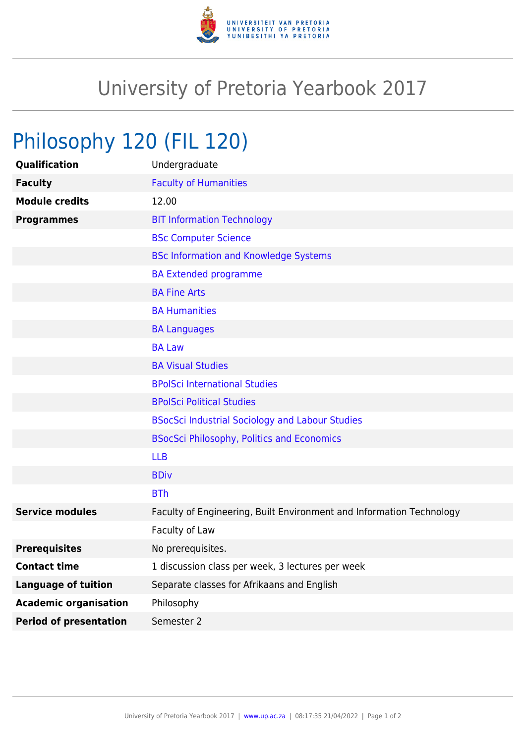

## University of Pretoria Yearbook 2017

## Philosophy 120 (FIL 120)

| Qualification                 | Undergraduate                                                        |
|-------------------------------|----------------------------------------------------------------------|
| <b>Faculty</b>                | <b>Faculty of Humanities</b>                                         |
| <b>Module credits</b>         | 12.00                                                                |
| <b>Programmes</b>             | <b>BIT Information Technology</b>                                    |
|                               | <b>BSc Computer Science</b>                                          |
|                               | <b>BSc Information and Knowledge Systems</b>                         |
|                               | <b>BA Extended programme</b>                                         |
|                               | <b>BA Fine Arts</b>                                                  |
|                               | <b>BA Humanities</b>                                                 |
|                               | <b>BA Languages</b>                                                  |
|                               | <b>BA Law</b>                                                        |
|                               | <b>BA Visual Studies</b>                                             |
|                               | <b>BPolSci International Studies</b>                                 |
|                               | <b>BPolSci Political Studies</b>                                     |
|                               | <b>BSocSci Industrial Sociology and Labour Studies</b>               |
|                               | <b>BSocSci Philosophy, Politics and Economics</b>                    |
|                               | <b>LLB</b>                                                           |
|                               | <b>BDiv</b>                                                          |
|                               | <b>BTh</b>                                                           |
| <b>Service modules</b>        | Faculty of Engineering, Built Environment and Information Technology |
|                               | Faculty of Law                                                       |
| <b>Prerequisites</b>          | No prerequisites.                                                    |
| <b>Contact time</b>           | 1 discussion class per week, 3 lectures per week                     |
| <b>Language of tuition</b>    | Separate classes for Afrikaans and English                           |
| <b>Academic organisation</b>  | Philosophy                                                           |
| <b>Period of presentation</b> | Semester 2                                                           |
|                               |                                                                      |